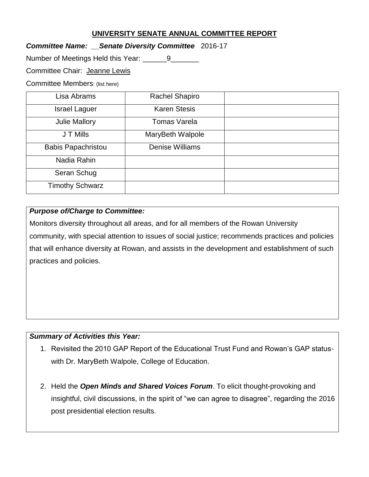### **UNIVERSITY SENATE ANNUAL COMMITTEE REPORT**

*Committee Name: \_\_Senate Diversity Committee* 2016-17

Number of Meetings Held this Year: \_\_\_\_\_\_9\_\_\_\_\_\_\_

Committee Chair: Jeanne Lewis

Committee Members: (list here)

| Lisa Abrams               | <b>Rachel Shapiro</b>  |  |
|---------------------------|------------------------|--|
| <b>Israel Laguer</b>      | <b>Karen Stesis</b>    |  |
| <b>Julie Mallory</b>      | <b>Tomas Varela</b>    |  |
| J T Mills                 | MaryBeth Walpole       |  |
| <b>Babis Papachristou</b> | <b>Denise Williams</b> |  |
| Nadia Rahin               |                        |  |
| Seran Schug               |                        |  |
| <b>Timothy Schwarz</b>    |                        |  |

#### *Purpose of/Charge to Committee:*

Monitors diversity throughout all areas, and for all members of the Rowan University community, with special attention to issues of social justice; recommends practices and policies that will enhance diversity at Rowan, and assists in the development and establishment of such practices and policies.

#### *Summary of Activities this Year:*

- 1. Revisited the 2010 GAP Report of the Educational Trust Fund and Rowan's GAP statuswith Dr. MaryBeth Walpole, College of Education.
- 2. Held the *Open Minds and Shared Voices Forum*. To elicit thought-provoking and insightful, civil discussions, in the spirit of "we can agree to disagree", regarding the 2016 post presidential election results.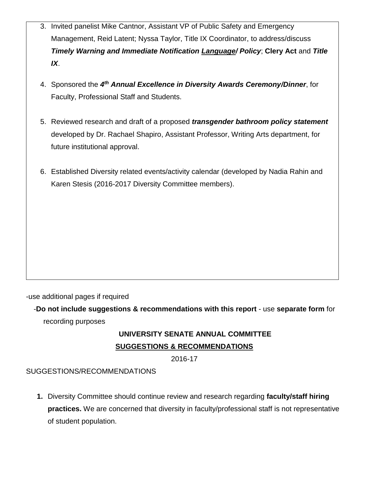- 3. Invited panelist Mike Cantnor, Assistant VP of Public Safety and Emergency Management, Reid Latent; Nyssa Taylor, Title IX Coordinator, to address/discuss *Timely Warning and Immediate Notification Language/ Policy*; **Clery Act** and *Title IX*.
- 4. Sponsored the *4 th Annual Excellence in Diversity Awards Ceremony/Dinner*, for Faculty, Professional Staff and Students.
- 5. Reviewed research and draft of a proposed *transgender bathroom policy statement* developed by Dr. Rachael Shapiro, Assistant Professor, Writing Arts department, for future institutional approval.
- 6. Established Diversity related events/activity calendar (developed by Nadia Rahin and Karen Stesis (2016-2017 Diversity Committee members).

-use additional pages if required

-**Do not include suggestions & recommendations with this report** - use **separate form** for recording purposes

# **UNIVERSITY SENATE ANNUAL COMMITTEE SUGGESTIONS & RECOMMENDATIONS**

2016-17

## SUGGESTIONS/RECOMMENDATIONS

**1.** Diversity Committee should continue review and research regarding **faculty/staff hiring practices.** We are concerned that diversity in faculty/professional staff is not representative of student population.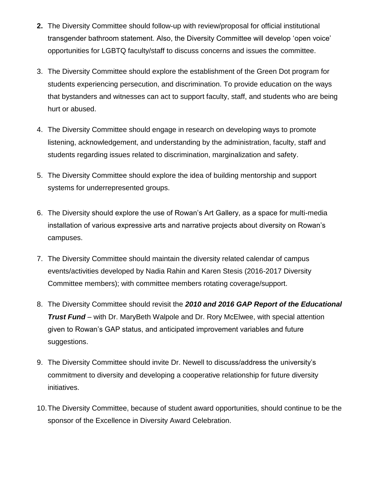- **2.** The Diversity Committee should follow-up with review/proposal for official institutional transgender bathroom statement. Also, the Diversity Committee will develop 'open voice' opportunities for LGBTQ faculty/staff to discuss concerns and issues the committee.
- 3. The Diversity Committee should explore the establishment of the Green Dot program for students experiencing persecution, and discrimination. To provide education on the ways that bystanders and witnesses can act to support faculty, staff, and students who are being hurt or abused.
- 4. The Diversity Committee should engage in research on developing ways to promote listening, acknowledgement, and understanding by the administration, faculty, staff and students regarding issues related to discrimination, marginalization and safety.
- 5. The Diversity Committee should explore the idea of building mentorship and support systems for underrepresented groups.
- 6. The Diversity should explore the use of Rowan's Art Gallery, as a space for multi-media installation of various expressive arts and narrative projects about diversity on Rowan's campuses.
- 7. The Diversity Committee should maintain the diversity related calendar of campus events/activities developed by Nadia Rahin and Karen Stesis (2016-2017 Diversity Committee members); with committee members rotating coverage/support.
- 8. The Diversity Committee should revisit the *2010 and 2016 GAP Report of the Educational Trust Fund* – with Dr. MaryBeth Walpole and Dr. Rory McElwee, with special attention given to Rowan's GAP status, and anticipated improvement variables and future suggestions.
- 9. The Diversity Committee should invite Dr. Newell to discuss/address the university's commitment to diversity and developing a cooperative relationship for future diversity initiatives.
- 10.The Diversity Committee, because of student award opportunities, should continue to be the sponsor of the Excellence in Diversity Award Celebration.